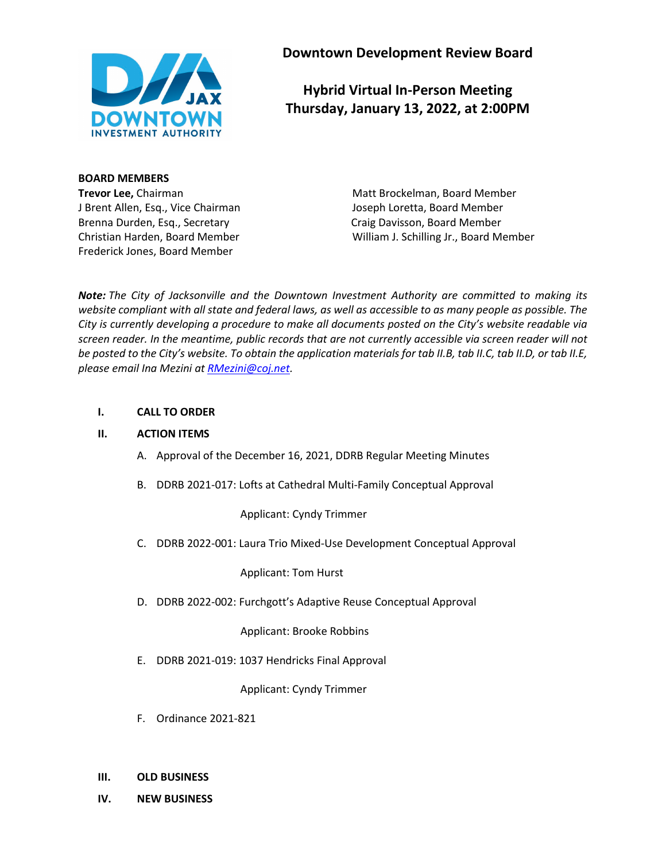

**Downtown Development Review Board**

# **Hybrid Virtual In-Person Meeting Thursday, January 13, 2022, at 2:00PM**

**BOARD MEMBERS** J Brent Allen, Esq., Vice Chairman Joseph Loretta, Board Member Brenna Durden, Esq., Secretary Craig Davisson, Board Member Frederick Jones, Board Member

**Trevor Lee,** Chairman Matt Brockelman, Board Member Christian Harden, Board Member William J. Schilling Jr., Board Member

*Note: The City of Jacksonville and the Downtown Investment Authority are committed to making its website compliant with all state and federal laws, as well as accessible to as many people as possible. The City is currently developing a procedure to make all documents posted on the City's website readable via screen reader. In the meantime, public records that are not currently accessible via screen reader will not be posted to the City's website. To obtain the application materials for tab II.B, tab II.C, tab II.D, or tab II.E, please email Ina Mezini at [RMezini@coj.net.](mailto:RMezini@coj.net)*

# **I. CALL TO ORDER**

# **II. ACTION ITEMS**

- A. Approval of the December 16, 2021, DDRB Regular Meeting Minutes
- B. DDRB 2021-017: Lofts at Cathedral Multi-Family Conceptual Approval

Applicant: Cyndy Trimmer

C. DDRB 2022-001: Laura Trio Mixed-Use Development Conceptual Approval

Applicant: Tom Hurst

D. DDRB 2022-002: Furchgott's Adaptive Reuse Conceptual Approval

Applicant: Brooke Robbins

E. DDRB 2021-019: 1037 Hendricks Final Approval

Applicant: Cyndy Trimmer

- F. Ordinance 2021-821
- **III. OLD BUSINESS**
- **IV. NEW BUSINESS**